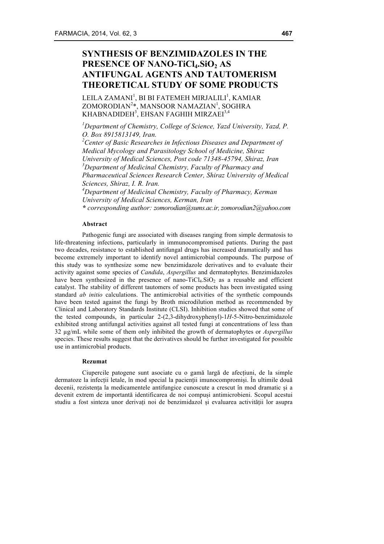# **SYNTHESIS OF BENZIMIDAZOLES IN THE PRESENCE OF NANO-TiCl4.SiO2 AS ANTIFUNGAL AGENTS AND TAUTOMERISM THEORETICAL STUDY OF SOME PRODUCTS**

 $\mathrm{LEILA}$  ZAMANI $^{\mathrm{l}}$ , BI BI FATEMEH MIRJALILI $^{\mathrm{l}}$ , KAMIAR ZOMORODIAN<sup>2</sup>\*, MANSOOR NAMAZIAN<sup>1</sup>, SOGHRA  $\rm\,KHABNADIDEH^{3}, EHSAN\ FAGHH\ MIRZAEI^{3,4}$ 

*1 Department of Chemistry, College of Science, Yazd University, Yazd, P. O. Box 8915813149, Iran.* 

*2 Center of Basic Researches in Infectious Diseases and Department of Medical Mycology and Parasitology School of Medicine, Shiraz University of Medical Sciences, Post code 71348-45794, Shiraz, Iran 3 Department of Medicinal Chemistry, Faculty of Pharmacy and Pharmaceutical Sciences Research Center, Shiraz University of Medical Sciences, Shiraz, I. R. Iran.*

*4 Department of Medicinal Chemistry, Faculty of Pharmacy, Kerman University of Medical Sciences, Kerman, Iran \* corresponding author: zomorodian@sums.ac.ir, zomorodian2@yahoo.com*

**Abstract**

Pathogenic fungi are associated with diseases ranging from simple dermatosis to life-threatening infections, particularly in immunocompromised patients. During the past two decades, resistance to established antifungal drugs has increased dramatically and has become extremely important to identify novel antimicrobial compounds. The purpose of this study was to synthesize some new benzimidazole derivatives and to evaluate their activity against some species of *Candida*, *Aspergillus* and dermatophytes. Benzimidazoles have been synthesized in the presence of nano-TiCl<sub>4</sub>.SiO<sub>2</sub> as a reusable and efficient catalyst. The stability of different tautomers of some products has been investigated using standard *ab initio* calculations. The antimicrobial activities of the synthetic compounds have been tested against the fungi by Broth microdilution method as recommended by Clinical and Laboratory Standards Institute (CLSI). Inhibition studies showed that some of the tested compounds, in particular 2-(2,3-dihydroxyphenyl)-1*H*-5-Nitro-benzimidazole exhibited strong antifungal activities against all tested fungi at concentrations of less than 32 µg/mL while some of them only inhibited the growth of dermatophytes or *Aspergillus* species. These results suggest that the derivatives should be further investigated for possible use in antimicrobial products.

#### **Rezumat**

Ciupercile patogene sunt asociate cu o gamă largă de afecțiuni, de la simple dermatoze la infecții letale, în mod special la pacienții imunocompromiși. În ultimile două decenii, rezistența la medicamentele antifungice cunoscute a crescut în mod dramatic și a devenit extrem de importantă identificarea de noi compuși antimicrobieni. Scopul acestui studiu a fost sinteza unor derivați noi de benzimidazol și evaluarea activității lor asupra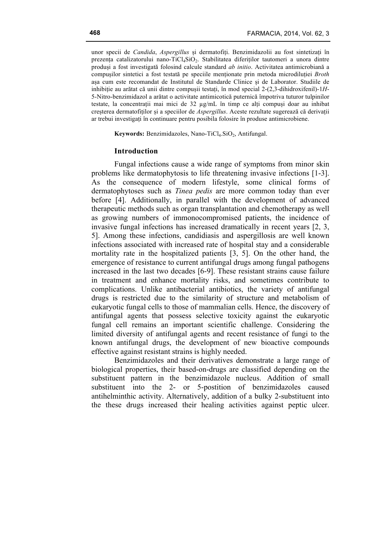unor specii de *Candida*, *Aspergillus* și dermatofiți. Benzimidazolii au fost sintetizați în prezența catalizatorului nano-TiCl<sub>4</sub>SiO<sub>2</sub>. Stabilitatea diferiților tautomeri a unora dintre produși a fost investigată folosind calcule standard *ab initio*. Activitatea antimicrobiană a compușilor sintetici a fost testată pe speciile menționate prin metoda microdiluției *Broth* așa cum este recomandat de Institutul de Standarde Clinice și de Laborator. Studiile de inhibiție au arătat că unii dintre compușii testați, în mod special 2-(2,3-dihidroxifenil)-1*H*-5-Nitro-benzimidazol a arătat o activitate antimicotică puternică împotriva tuturor tulpinilor testate, la concentrații mai mici de 32 µg/mL în timp ce alți compuși doar au inhibat creșterea dermatofiților și a speciilor de *Aspergillus*. Aceste rezultate sugerează că derivații ar trebui investigați în continuare pentru posibila folosire în produse antimicrobiene.

**Keywords:** Benzimidazoles, Nano-TiCl<sub>4</sub>.SiO<sub>2</sub>, Antifungal.

### **Introduction**

Fungal infections cause a wide range of symptoms from minor skin problems like dermatophytosis to life threatening invasive infections [1-3]. As the consequence of modern lifestyle, some clinical forms of dermatophytoses such as *Tinea pedis* are more common today than ever before [4]. Additionally, in parallel with the development of advanced therapeutic methods such as organ transplantation and chemotherapy as well as growing numbers of immonocompromised patients, the incidence of invasive fungal infections has increased dramatically in recent years [2, 3, 5]. Among these infections, candidiasis and aspergillosis are well known infections associated with increased rate of hospital stay and a considerable mortality rate in the hospitalized patients [3, 5]. On the other hand, the emergence of resistance to current antifungal drugs among fungal pathogens increased in the last two decades [6-9]. These resistant strains cause failure in treatment and enhance mortality risks, and sometimes contribute to complications. Unlike antibacterial antibiotics, the variety of antifungal drugs is restricted due to the similarity of structure and metabolism of eukaryotic fungal cells to those of mammalian cells. Hence, the discovery of antifungal agents that possess selective toxicity against the eukaryotic fungal cell remains an important scientific challenge. Considering the limited diversity of antifungal agents and recent resistance of fungi to the known antifungal drugs, the development of new bioactive compounds effective against resistant strains is highly needed.

Benzimidazoles and their derivatives demonstrate a large range of biological properties, their based-on-drugs are classified depending on the substituent pattern in the benzimidazole nucleus. Addition of small substituent into the 2- or 5-postition of benzimidazoles caused antihelminthic activity. Alternatively, addition of a bulky 2-substituent into the these drugs increased their healing activities against peptic ulcer.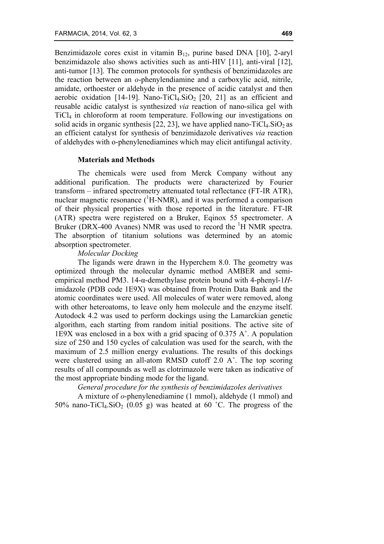Benzimidazole cores exist in vitamin  $B_{12}$ , purine based DNA [10], 2-aryl benzimidazole also shows activities such as anti-HIV [11], anti-viral [12], anti-tumor [13]. The common protocols for synthesis of benzimidazoles are the reaction between an *o*-phenylendiamine and a carboxylic acid, nitrile, amidate, orthoester or aldehyde in the presence of acidic catalyst and then aerobic oxidation  $[14-19]$ . Nano-TiCl<sub>4</sub>.SiO<sub>2</sub> [20, 21] as an efficient and reusable acidic catalyst is synthesized *via* reaction of nano-silica gel with TiCl4 in chloroform at room temperature. Following our investigations on solid acids in organic synthesis  $[22, 23]$ , we have applied nano-TiCl<sub>4</sub>.SiO<sub>2</sub> as an efficient catalyst for synthesis of benzimidazole derivatives *via* reaction of aldehydes with o-phenylenediamines which may elicit antifungal activity.

#### **Materials and Methods**

The chemicals were used from Merck Company without any additional purification. The products were characterized by Fourier transform – infrared spectrometry attenuated total reflectance (FT-IR ATR), nuclear magnetic resonance  $({}^{1}H\text{-NMR})$ , and it was performed a comparison of their physical properties with those reported in the literature. FT-IR (ATR) spectra were registered on a Bruker, Eqinox 55 spectrometer. A Bruker (DRX-400 Avanes) NMR was used to record the  ${}^{1}H$  NMR spectra. The absorption of titanium solutions was determined by an atomic absorption spectrometer.

### *Molecular Docking*

The ligands were drawn in the Hyperchem 8.0. The geometry was optimized through the molecular dynamic method AMBER and semiempirical method PM3. 14-α-demethylase protein bound with 4-phenyl-1*H*imidazole (PDB code 1E9X) was obtained from Protein Data Bank and the atomic coordinates were used. All molecules of water were removed, along with other heteroatoms, to leave only hem molecule and the enzyme itself. Autodock 4.2 was used to perform dockings using the Lamarckian genetic algorithm, each starting from random initial positions. The active site of 1E9X was enclosed in a box with a grid spacing of 0.375 A˚. A population size of 250 and 150 cycles of calculation was used for the search, with the maximum of 2.5 million energy evaluations. The results of this dockings were clustered using an all-atom RMSD cutoff 2.0 A˚. The top scoring results of all compounds as well as clotrimazole were taken as indicative of the most appropriate binding mode for the ligand.

## *General procedure for the synthesis of benzimidazoles derivatives*

A mixture of *o*-phenylenediamine (1 mmol), aldehyde (1 mmol) and 50% nano-TiCl<sub>4</sub>.SiO<sub>2</sub> (0.05 g) was heated at 60 °C. The progress of the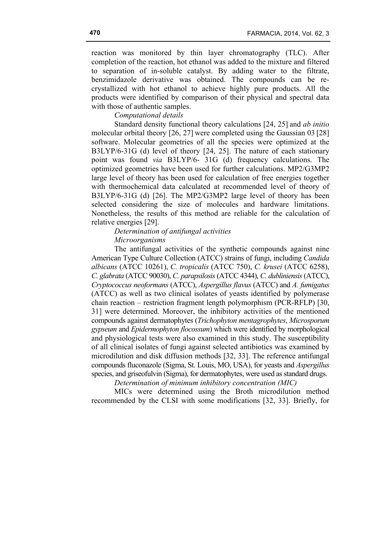reaction was monitored by thin layer chromatography (TLC). After completion of the reaction, hot ethanol was added to the mixture and filtered to separation of in-soluble catalyst. By adding water to the filtrate, benzimidazole derivative was obtained. The compounds can be recrystallized with hot ethanol to achieve highly pure products. All the products were identified by comparison of their physical and spectral data with those of authentic samples.

# *Computational details*

Standard density functional theory calculations [24, 25] and *ab initio* molecular orbital theory [26, 27] were completed using the Gaussian 03 [28] software. Molecular geometries of all the species were optimized at the B3LYP/6-31G (d) level of theory [24, 25]. The nature of each stationary point was found *via* B3LYP/6- 31G (d) frequency calculations. The optimized geometries have been used for further calculations. MP2/G3MP2 large level of theory has been used for calculation of free energies together with thermochemical data calculated at recommended level of theory of B3LYP/6-31G (d) [26]. The MP2/G3MP2 large level of theory has been selected considering the size of molecules and hardware limitations. Nonetheless, the results of this method are reliable for the calculation of relative energies [29].

*Determination of antifungal activities*

*Microorganisms*

The antifungal activities of the synthetic compounds against nine American Type Culture Collection (ATCC) strains of fungi, including *Candida albicans* (ATCC 10261), *C. tropicalis* (ATCC 750), *C. krusei* (ATCC 6258), *C. glabrata* (ATCC 90030), *C. parapsilosis* (ATCC 4344), *C. dubliniensis* (ATCC), *Cryptococcus neoformans* (ATCC), *Aspergillus flavus* (ATCC) and *A. fumigatus* (ATCC) as well as two clinical isolates of yeasts identified by polymerase chain reaction – restriction fragment length polymorphism (PCR-RFLP) [30, 31] were determined. Moreover, the inhibitory activities of the mentioned compounds against dermatophytes (*Trichophyton mentagrophytes*, *Microsporum gypseum* and *Epidermophyton flocossum*) which were identified by morphological and physiological tests were also examined in this study. The susceptibility of all clinical isolates of fungi against selected antibiotics was examined by microdilution and disk diffusion methods [32, 33]. The reference antifungal compounds fluconazole (Sigma, St. Louis, MO, USA), for yeasts and *Aspergillus* species, and griseofulvin (Sigma), for dermatophytes, were used as standard drugs.

*Determination of minimum inhibitory concentration (MIC)*

MICs were determined using the Broth microdilution method recommended by the CLSI with some modifications [32, 33]. Briefly, for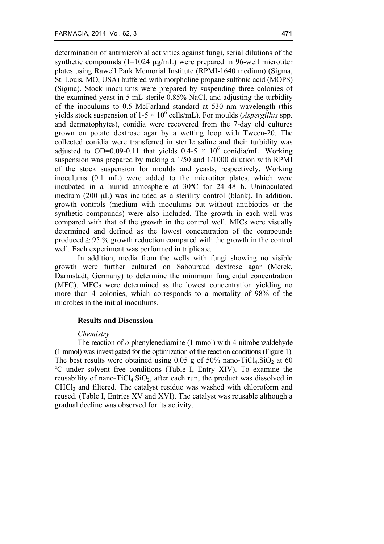determination of antimicrobial activities against fungi, serial dilutions of the synthetic compounds (1–1024 µg/mL) were prepared in 96-well microtiter plates using Rawell Park Memorial Institute (RPMI-1640 medium) (Sigma, St. Louis, MO, USA) buffered with morpholine propane sulfonic acid (MOPS) (Sigma). Stock inoculums were prepared by suspending three colonies of the examined yeast in 5 mL sterile 0.85% NaCl, and adjusting the turbidity of the inoculums to 0.5 McFarland standard at 530 nm wavelength (this yields stock suspension of  $1-5 \times 10^6$  cells/mL). For moulds (*Aspergillus* spp. and dermatophytes), conidia were recovered from the 7-day old cultures grown on potato dextrose agar by a wetting loop with Tween-20. The collected conidia were transferred in sterile saline and their turbidity was adjusted to OD=0.09-0.11 that yields  $0.4-5 \times 10^6$  conidia/mL. Working suspension was prepared by making a 1/50 and 1/1000 dilution with RPMI of the stock suspension for moulds and yeasts, respectively. Working inoculums (0.1 mL) were added to the microtiter plates, which were incubated in a humid atmosphere at 30ºC for 24–48 h. Uninoculated medium (200 µL) was included as a sterility control (blank). In addition, growth controls (medium with inoculums but without antibiotics or the synthetic compounds) were also included. The growth in each well was compared with that of the growth in the control well. MICs were visually determined and defined as the lowest concentration of the compounds produced  $> 95\%$  growth reduction compared with the growth in the control well. Each experiment was performed in triplicate.

In addition, media from the wells with fungi showing no visible growth were further cultured on Sabouraud dextrose agar (Merck, Darmstadt, Germany) to determine the minimum fungicidal concentration (MFC). MFCs were determined as the lowest concentration yielding no more than 4 colonies, which corresponds to a mortality of 98% of the microbes in the initial inoculums.

## **Results and Discussion**

#### *Chemistry*

The reaction of *o*-phenylenediamine (1 mmol) with 4-nitrobenzaldehyde (1 mmol) was investigated for the optimization of the reaction conditions (Figure 1). The best results were obtained using  $0.05$  g of  $50\%$  nano-TiCl<sub>4</sub>.SiO<sub>2</sub> at 60 ºC under solvent free conditions (Table I, Entry XIV). To examine the reusability of nano-TiCl<sub>4</sub>.SiO<sub>2</sub>, after each run, the product was dissolved in CHCl3 and filtered. The catalyst residue was washed with chloroform and reused. (Table I, Entries XV and XVI). The catalyst was reusable although a gradual decline was observed for its activity.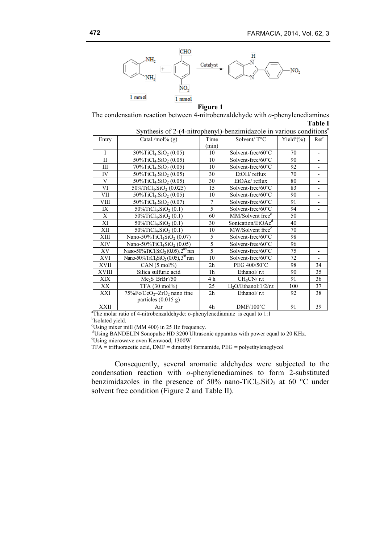

**Figure 1**

The condensation reaction between 4-nitrobenzaldehyde with *o*-phenylenediamines **Table I**

| Synthesis of 2-(4-nitrophenyl)-benzimidazole in various conditions <sup>a</sup> |                                                                        |                |                               |                            |                          |  |  |  |  |
|---------------------------------------------------------------------------------|------------------------------------------------------------------------|----------------|-------------------------------|----------------------------|--------------------------|--|--|--|--|
| Entry                                                                           | Catal./mol% $(g)$                                                      | Time           | Solvent/ $T^{\circ}C$         | Yield <sup>a</sup> $(\% )$ | Ref                      |  |  |  |  |
|                                                                                 |                                                                        | (min)          |                               |                            |                          |  |  |  |  |
| $\mathbf{I}$                                                                    | $30\%$ TiCl <sub>4</sub> .SiO <sub>2</sub> (0.05)                      | 10             | Solvent-free/60°C             | 70                         | $\overline{\phantom{a}}$ |  |  |  |  |
| $\mathbf{I}$                                                                    | $50\%$ TiCl <sub>4</sub> .SiO <sub>2</sub> (0.05)                      | 10             | Solvent-free/60°C             | 90                         | $\overline{\phantom{0}}$ |  |  |  |  |
| Ш                                                                               | $70\%$ TiCl <sub>4</sub> .SiO <sub>2</sub> (0.05)                      | 10             | Solvent-free/ $60^{\circ}$ C  | 92                         | $\overline{\phantom{0}}$ |  |  |  |  |
| IV                                                                              | 50%TiCl <sub>4</sub> .SiO <sub>2</sub> (0.05)                          | 30             | $EtOH$ reflux                 | 70                         |                          |  |  |  |  |
| V                                                                               | 50%TiCl <sub>4</sub> .SiO <sub>2</sub> (0.05)                          | 30             | EtOAc/reflux                  | 80                         | $\overline{\phantom{0}}$ |  |  |  |  |
| VI                                                                              | 50%TiCl <sub>4</sub> .SiO <sub>2</sub> (0.025)                         | 15             | Solvent-free/60°C             | 83                         | $\overline{\phantom{0}}$ |  |  |  |  |
| VII                                                                             | $50\%$ TiCl <sub>4</sub> .SiO <sub>2</sub> (0.05)                      | 10             | Solvent-free/60°C             | 90                         |                          |  |  |  |  |
| VIII                                                                            | 50%TiCl <sub>4</sub> .SiO <sub>2</sub> (0.07)                          | 7              | Solvent-free/60°C             | 91                         | $\overline{\phantom{0}}$ |  |  |  |  |
| IX                                                                              | $50\%$ TiCl <sub>4</sub> .SiO <sub>2</sub> (0.1)                       | 5              | Solvent-free/60°C             | 94                         | $\overline{\phantom{0}}$ |  |  |  |  |
| X                                                                               | $50\%$ TiCl <sub>4</sub> .SiO <sub>2</sub> (0.1)                       | 60             | MM/Solvent free <sup>c</sup>  | 50                         |                          |  |  |  |  |
| XI                                                                              | $50\%$ TiCl <sub>4</sub> .SiO <sub>2</sub> (0.1)                       | 30             | Sonication/EtOAc <sup>d</sup> | 40                         |                          |  |  |  |  |
| XII                                                                             | 50%TiCl <sub>4</sub> .SiO <sub>2</sub> (0.1)                           | 10             | MW/Solvent free <sup>e</sup>  | 70                         |                          |  |  |  |  |
| XIII                                                                            | Nano-50%TiCl <sub>4</sub> SiO <sub>2</sub> (0.07)                      | 5              | Solvent-free/60°C             | 98                         |                          |  |  |  |  |
| XIV                                                                             | Nano-50% $TiCl4SiO2$ (0.05)                                            | 5              | Solvent-free/60°C             | 96                         |                          |  |  |  |  |
| XV                                                                              | Nano-50%TiCl <sub>4</sub> SiO <sub>2</sub> (0.05), 2 <sup>nd</sup> run | $\overline{5}$ | Solvent-free/60°C             | 75                         | $\overline{\phantom{0}}$ |  |  |  |  |
| XVI                                                                             | Nano-50%TiCl <sub>4</sub> SiO <sub>2</sub> (0.05), $3rd$ run           | 10             | Solvent-free/ $60^{\circ}$ C  | 72                         |                          |  |  |  |  |
| XVII                                                                            | CAN (5 mol%)                                                           | 2 <sub>h</sub> | PEG 400/50°C                  | 98                         | 34                       |  |  |  |  |
| XVIII                                                                           | Silica sulfuric acid                                                   | 1 <sub>h</sub> | Ethanol/r.t                   | 90                         | 35                       |  |  |  |  |
| XIX                                                                             | $Me2S+BrBr/50$                                                         | 4 h            | CH <sub>3</sub> CN/r.t        | 91                         | 36                       |  |  |  |  |
| XX                                                                              | TFA (30 mol%)                                                          | 25             | $H_2O/Ethanol$ : $1/2/r.t$    | 100                        | 37                       |  |  |  |  |
| XXI                                                                             | $75\%Fe/CeO_2$ -ZrO <sub>2</sub> nano fine                             | 2 <sub>h</sub> | Ethanol/r.t                   | 92                         | 38                       |  |  |  |  |
|                                                                                 | particles $(0.015 g)$                                                  |                |                               |                            |                          |  |  |  |  |
| XXII                                                                            | Air                                                                    | 4h             | $DMF/100^{\circ}C$            | 91                         | 39                       |  |  |  |  |

<sup>a</sup>The molar ratio of 4-nitrobenzaldehyde: o-phenylenediamine is equal to 1:1 bloodsted viald

<sup>b</sup>Isolated yield.

c Using mixer mill (MM 400) in 25 Hz frequency.

 $^{d}$ Using BANDELIN Sonopulse HD 3200 Ultrasonic apparatus with power equal to 20 KHz.

Using microwave oven Kenwood, 1300W

TFA = trifluoracetic acid, DMF = dimethyl formamide, PEG = polyethyleneglycol

Consequently, several aromatic aldehydes were subjected to the condensation reaction with *o*-phenylenediamines to form 2-substituted benzimidazoles in the presence of 50% nano-TiCl<sub>4</sub>.SiO<sub>2</sub> at 60 °C under solvent free condition (Figure 2 and Table II).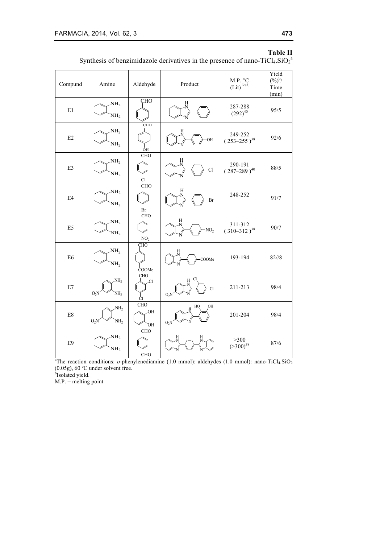# **Table II**

Synthesis of benzimidazole derivatives in the presence of nano-TiCl<sub>4</sub>.SiO<sub>2</sub><sup>a</sup>

| Compund                   | Amine                                        | Aldehyde                      | Product                      | M.P. °C<br>$(Lit)$ <sup>Ref.</sup> | Yield<br>$({\frac{9}{6}})^{b}$ /<br>Time<br>(min) |
|---------------------------|----------------------------------------------|-------------------------------|------------------------------|------------------------------------|---------------------------------------------------|
| E1                        | NH <sub>2</sub><br>NH <sub>2</sub>           | CHO                           | Η                            | 287-288<br>$(292)^{40}$            | 95/5                                              |
| E2                        | NH <sub>2</sub><br>NH <sub>2</sub>           | CHO<br>OH                     | OH                           | 249-252<br>$(253 - 255)^{38}$      | 92/6                                              |
| E3                        | NH <sub>2</sub><br>NH <sub>2</sub>           | <b>CHO</b><br>Сl              | H<br>Cl                      | 290-191<br>$(287 - 289)^{40}$      | 88/5                                              |
| $\mathrm{E}4$             | NH <sub>2</sub><br>NH <sub>2</sub>           | CHO<br>Br                     | Н<br>·Br                     | 248-252                            | 91/7                                              |
| $\mathop{\hbox{\rm E}} 5$ | NH <sub>2</sub><br>NH <sub>2</sub>           | CHO<br>NO <sub>2</sub>        | Н<br>NO <sub>2</sub>         | 311-312<br>$(310-312)^{38}$        | 90/7                                              |
| E <sub>6</sub>            | NH <sub>2</sub><br>NH <sub>2</sub>           | <b>CHO</b><br>COOMe           | COOMe                        | 193-194                            | $82^{1/8}$                                        |
| $\rm E7$                  | NH <sub>2</sub><br>$O_2N$<br>NH <sub>2</sub> | CHO<br>Cl<br>Cl               | Cl<br>O <sub>2</sub> N       | 211-213                            | 98/4                                              |
| $\mathrm{E}8$             | NH <sub>2</sub><br>$O_2N$<br>NH <sub>2</sub> | <b>CHO</b><br><b>OH</b><br>ЮÏ | ОH<br>HO<br>O <sub>2</sub> N | 201-204                            | 98/4                                              |
| E9                        | NH <sub>2</sub><br>NH <sub>2</sub>           | CHO<br>ĊНО                    |                              | $>300$<br>$(>300)^{38}$            | 87/6                                              |

<sup>&</sup>lt;sup>a</sup>The reaction conditions: *o*-phenylenediamine (1.0 mmol): aldehydes (1.0 mmol): nano-TiCl<sub>4</sub>.SiO<sub>2</sub>  $(0.05g)$ , 60 °C under solvent free.

<sup>b</sup>Isolated yield.

 $M.P.$  = melting point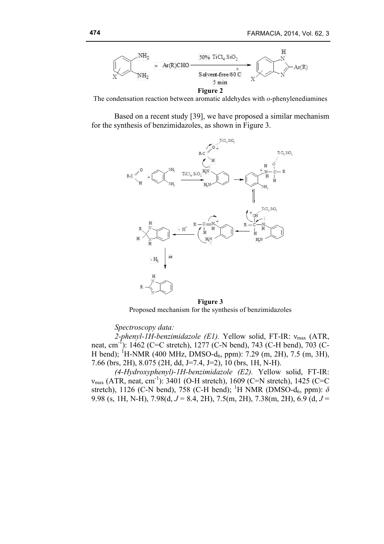

The condensation reaction between aromatic aldehydes with *o*-phenylenediamines

Based on a recent study [39], we have proposed a similar mechanism for the synthesis of benzimidazoles, as shown in Figure 3.



**Figure 3** Proposed mechanism for the synthesis of benzimidazoles

#### *Spectroscopy data:*

2-phenyl-1H-benzimidazole (E1). Yellow solid, FT-IR: ν<sub>max</sub> (ATR, neat, cm<sup>-1</sup>): 1462 (C=C stretch), 1277 (C-N bend), 743 (C-H bend), 703 (C-H bend); <sup>1</sup>H-NMR (400 MHz, DMSO-d<sub>6</sub>, ppm): 7.29 (m, 2H), 7.5 (m, 3H), 7.66 (brs, 2H), 8.075 (2H, dd, J=7.4, J=2), 10 (brs, 1H, N-H).

*(4-Hydroxyphenyl)-1H-benzimidazole (E2).* Yellow solid, FT-IR:  $v_{\text{max}}$  (ATR, neat, cm<sup>-1</sup>): 3401 (O-H stretch), 1609 (C=N stretch), 1425 (C=C stretch), 1126 (C-N bend), 758 (C-H bend); <sup>1</sup>H NMR (DMSO-d<sub>6</sub>, ppm):  $\delta$ 9.98 (s, 1H, N-H), 7.98(d, *J* = 8.4, 2H), 7.5(m, 2H), 7.38(m, 2H), 6.9 (d, *J* =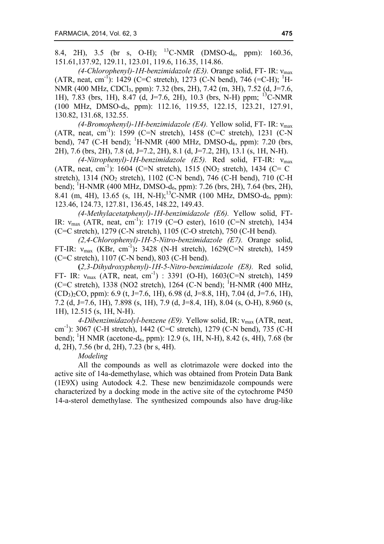8.4, 2H), 3.5 (br s, O-H); <sup>13</sup>C-NMR (DMSO-d<sub>6</sub>, ppm): 160.36, 151.61,137.92, 129.11, 123.01, 119.6, 116.35, 114.86.

*(4-Chlorophenyl)-1H-benzimidazole (E3).* Orange solid, FT- IR: νmax (ATR, neat, cm<sup>-1</sup>): 1429 (C=C stretch), 1273 (C-N bend), 746 (=C-H); <sup>1</sup>H-NMR (400 MHz, CDCl3, ppm): 7.32 (brs, 2H), 7.42 (m, 3H), 7.52 (d, J=7.6, 1H), 7.83 (brs, 1H), 8.47 (d, J=7.6, 2H), 10.3 (brs, N-H) ppm; 13C-NMR (100 MHz, DMSO-d6, ppm): 112.16, 119.55, 122.15, 123.21, 127.91, 130.82, 131.68, 132.55.

*(4-Bromophenyl)-1H-benzimidazole (E4).* Yellow solid, FT- IR: νmax (ATR, neat, cm<sup>-1</sup>): 1599 (C=N stretch), 1458 (C=C stretch), 1231 (C-N bend), 747 (C-H bend);  ${}^{1}$ H-NMR (400 MHz, DMSO-d<sub>6</sub>, ppm): 7.20 (brs, 2H), 7.6 (brs, 2H), 7.8 (d, J=7.2, 2H), 8.1 (d, J=7.2, 2H), 13.1 (s, 1H, N-H).

*(4-Nitrophenyl)-1H-benzimidazole (E5).* Red solid, FT-IR: νmax (ATR, neat, cm<sup>-1</sup>): 1604 (C=N stretch), 1515 (NO<sub>2</sub> stretch), 1434 (C= C stretch), 1314 (NO<sub>2</sub> stretch), 1102 (C-N bend), 746 (C-H bend), 710 (C-H bend); <sup>1</sup>H-NMR (400 MHz, DMSO-d<sub>6</sub>, ppm): 7.26 (brs, 2H), 7.64 (brs, 2H), 8.41 (m, 4H), 13.65 (s, 1H, N-H);<sup>13</sup>C-NMR (100 MHz, DMSO-d<sub>6</sub>, ppm): 123.46, 124.73, 127.81, 136.45, 148.22, 149.43.

*(4-Methylacetatphenyl)-1H-benzimidazole (E6).* Yellow solid, FT-IR:  $v_{\text{max}}$  (ATR, neat, cm<sup>-1</sup>): 1719 (C=O ester), 1610 (C=N stretch), 1434 (C=C stretch), 1279 (C-N stretch), 1105 (C-O stretch), 750 (C-H bend).

*(2,4-Chlorophenyl)-1H-5-Nitro-benzimidazole (E7).* Orange solid, FT-IR:  $v_{\text{max}}$  (KBr, cm<sup>-1</sup>): 3428 (N-H stretch), 1629(C=N stretch), 1459 (C=C stretch), 1107 (C-N bend), 803 (C-H bend).

**(***2,3-Dihydroxyphenyl)-1H-5-Nitro-benzimidazole (E8).* Red solid, FT- IR:  $v_{\text{max}}$  (ATR, neat, cm<sup>-1</sup>) : 3391 (O-H), 1603(C=N stretch), 1459 (C=C stretch),  $1338$  (NO2 stretch),  $1264$  (C-N bend); <sup>1</sup>H-NMR (400 MHz,  $(CD_3)_{2}CO$ , ppm): 6.9 (t, J=7.6, 1H), 6.98 (d, J=8.8, 1H), 7.04 (d, J=7.6, 1H), 7.2 (d, J=7.6, 1H), 7.898 (s, 1H), 7.9 (d, J=8.4, 1H), 8.04 (s, O-H), 8.960 (s, 1H), 12.515 (s, 1H, N-H).

*4-Dibenzimidazolyl-benzene (E9).* Yellow solid, IR: νmax (ATR, neat, cm-1 ): 3067 (C-H stretch), 1442 (C=C stretch), 1279 (C-N bend), 735 (C-H bend); <sup>1</sup>H NMR (acetone-d<sub>6</sub>, ppm): 12.9 (s, 1H, N-H), 8.42 (s, 4H), 7.68 (br d, 2H), 7.56 (br d, 2H), 7.23 (br s, 4H).

*Modeling*

All the compounds as well as clotrimazole were docked into the active site of 14a-demethylase, which was obtained from Protein Data Bank (1E9X) using Autodock 4.2. These new benzimidazole compounds were characterized by a docking mode in the active site of the cytochrome P450 14-a-sterol demethylase. The synthesized compounds also have drug-like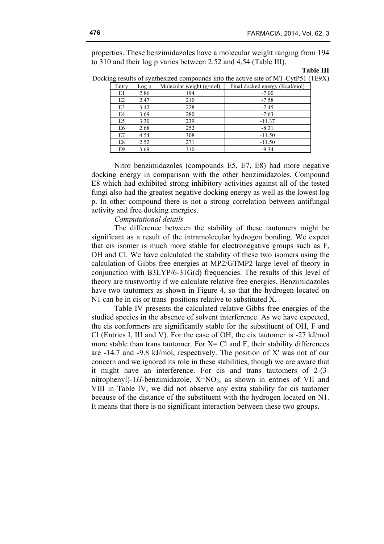properties. These benzimidazoles have a molecular weight ranging from 194 to 310 and their log p varies between 2.52 and 4.54 (Table III).

#### **Table III**

Docking results of synthesized compounds into the active site of MT-CytP51 (1E9X)

| Entry | Log p | Molecular weight $(g/mol)$ | Final docked energy (Kcal/mol) |
|-------|-------|----------------------------|--------------------------------|
| E1    | 2.86  | 194                        | $-7.00$                        |
| E2    | 2.47  | 210                        | $-7.58$                        |
| E3    | 3.42  | 228                        | $-7.45$                        |
| E4    | 3.69  | 280                        | $-7.63$                        |
| E5    | 3.30  | 239                        | $-11.37$                       |
| E6    | 2.68  | 252                        | $-8.31$                        |
| E7    | 4.54  | 308                        | $-11.50$                       |
| E8    | 2.52  | 271                        | $-11.50$                       |
| E9    | 3.69  | 310                        | $-9.34$                        |

Nitro benzimidazoles (compounds E5, E7, E8) had more negative docking energy in comparison with the other benzimidazoles. Compound E8 which had exhibited strong inhibitory activities against all of the tested fungi also had the greatest negative docking energy as well as the lowest log p. In other compound there is not a strong correlation between antifungal activity and free docking energies.

## *Computational details*

The difference between the stability of these tautomers might be significant as a result of the intramolecular hydrogen bonding. We expect that cis isomer is much more stable for electronegative groups such as F, OH and Cl. We have calculated the stability of these two isomers using the calculation of Gibbs free energies at MP2/GTMP2 large level of theory in conjunction with B3LYP/6-31G(d) frequencies. The results of this level of theory are trustworthy if we calculate relative free energies. Benzimidazoles have two tautomers as shown in Figure 4, so that the hydrogen located on N1 can be in cis or trans positions relative to substituted X.

Table IV presents the calculated relative Gibbs free energies of the studied species in the absence of solvent interference. As we have expected, the cis conformers are significantly stable for the substituent of OH, F and Cl (Entries I, III and V). For the case of OH, the cis tautomer is -27 kJ/mol more stable than trans tautomer. For  $X = C1$  and F, their stability differences are -14.7 and -9.8 kJ/mol, respectively. The position of X' was not of our concern and we ignored its role in these stabilities, though we are aware that it might have an interference. For cis and trans tautomers of 2-(3 nitrophenyl)-1*H*-benzimidazole,  $X=NO_2$ , as shown in entries of VII and VIII in Table IV, we did not observe any extra stability for cis tautomer because of the distance of the substituent with the hydrogen located on N1. It means that there is no significant interaction between these two groups.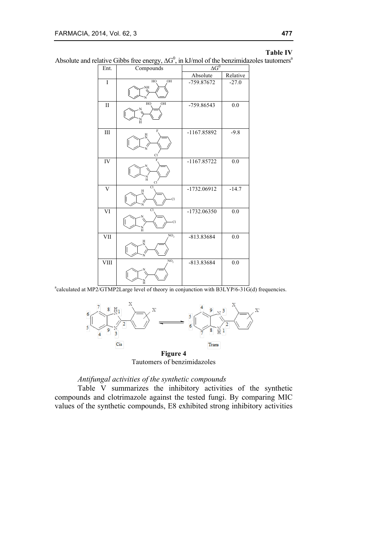#### **Table IV**

Absolute and relative Gibbs free energy,  $\Delta G^0$ , in kJ/mol of the benzimidazoles tautomers<sup>a</sup>

| Ent.                    | Compounds                 | $\overline{\Delta G}^0$ |          |  |
|-------------------------|---------------------------|-------------------------|----------|--|
|                         |                           | Absolute                | Relative |  |
| I                       | OH<br>HO<br>NH            | -759.87672              | $-27.0$  |  |
| $\rm II$                | OH<br>HO<br>н             | -759.86543              | 0.0      |  |
| III                     | F<br>H<br>N<br>Cl         | -1167.85892             | $-9.8$   |  |
| IV                      | $\overline{F}$<br>N<br>Cl | $-1167.85722$           | 0.0      |  |
| $\overline{\rm v}$      | Cl<br>Н<br>$\overline{C}$ | -1732.06912             | $-14.7$  |  |
| $\overline{VI}$         | <b>Cl</b><br>Cl<br>N      | $-1732.06350$           | 0.0      |  |
| $\overline{\text{VII}}$ | NO <sub>2</sub>           | -813.83684              | 0.0      |  |
| VIII                    | NO,                       | -813.83684              | 0.0      |  |

<sup>a</sup>calculated at MP2/GTMP2Large level of theory in conjunction with B3LYP/6-31G(d) frequencies.



Tautomers of benzimidazoles

# *Antifungal activities of the synthetic compounds*

Table V summarizes the inhibitory activities of the synthetic compounds and clotrimazole against the tested fungi. By comparing MIC values of the synthetic compounds, E8 exhibited strong inhibitory activities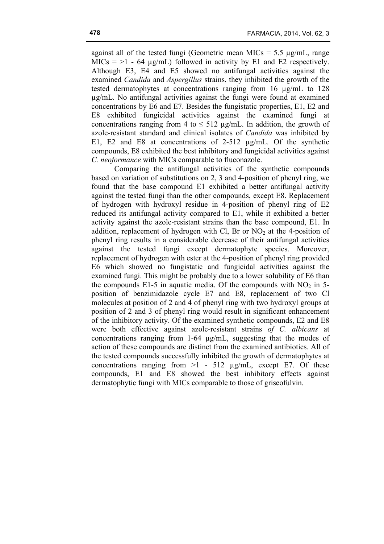against all of the tested fungi (Geometric mean MICs  $= 5.5 \text{ µg/mL}$ , range  $MICs = 1 - 64 \mu g/mL)$  followed in activity by E1 and E2 respectively. Although E3, E4 and E5 showed no antifungal activities against the examined *Candida* and *Aspergillus* strains, they inhibited the growth of the tested dermatophytes at concentrations ranging from 16 µg/mL to 128 µg/mL. No antifungal activities against the fungi were found at examined concentrations by E6 and E7. Besides the fungistatic properties, E1, E2 and E8 exhibited fungicidal activities against the examined fungi at concentrations ranging from 4 to  $\leq 512 \mu$ g/mL. In addition, the growth of azole-resistant standard and clinical isolates of *Candida* was inhibited by E1, E2 and E8 at concentrations of 2-512  $\mu$ g/mL. Of the synthetic compounds, E8 exhibited the best inhibitory and fungicidal activities against *C. neoformance* with MICs comparable to fluconazole.

Comparing the antifungal activities of the synthetic compounds based on variation of substitutions on 2, 3 and 4-position of phenyl ring, we found that the base compound E1 exhibited a better antifungal activity against the tested fungi than the other compounds, except E8. Replacement of hydrogen with hydroxyl residue in 4-position of phenyl ring of E2 reduced its antifungal activity compared to E1, while it exhibited a better activity against the azole-resistant strains than the base compound, E1. In addition, replacement of hydrogen with Cl, Br or  $NO<sub>2</sub>$  at the 4-position of phenyl ring results in a considerable decrease of their antifungal activities against the tested fungi except dermatophyte species. Moreover, replacement of hydrogen with ester at the 4-position of phenyl ring provided E6 which showed no fungistatic and fungicidal activities against the examined fungi. This might be probably due to a lower solubility of E6 than the compounds  $E1-5$  in aquatic media. Of the compounds with  $NO<sub>2</sub>$  in 5position of benzimidazole cycle E7 and E8, replacement of two Cl molecules at position of 2 and 4 of phenyl ring with two hydroxyl groups at position of 2 and 3 of phenyl ring would result in significant enhancement of the inhibitory activity. Of the examined synthetic compounds, E2 and E8 were both effective against azole-resistant strains *of C. albicans* at concentrations ranging from 1-64 µg/mL, suggesting that the modes of action of these compounds are distinct from the examined antibiotics. All of the tested compounds successfully inhibited the growth of dermatophytes at concentrations ranging from  $>1$  - 512  $\mu$ g/mL, except E7. Of these compounds, E1 and E8 showed the best inhibitory effects against dermatophytic fungi with MICs comparable to those of griseofulvin.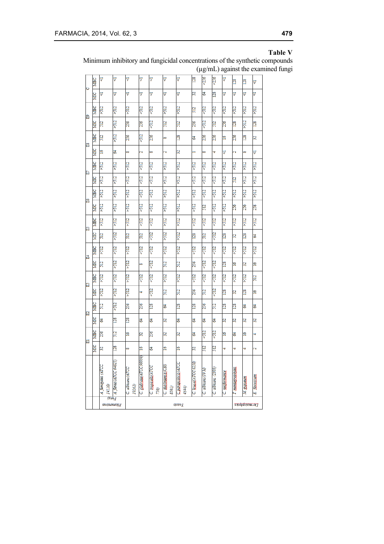## **Table V**

Minimum inhibitory and fungicidal concentrations of the synthetic compounds (µg/mL) against the examined fungi

| Ò | MBC        | 4                                                   | 4                      | Δ                                 | 4                       | 4                           | 4                             | 4                            | $\overline{28}$     | >256                   | >256                       | 4              | 128               | 128            | 4                  |
|---|------------|-----------------------------------------------------|------------------------|-----------------------------------|-------------------------|-----------------------------|-------------------------------|------------------------------|---------------------|------------------------|----------------------------|----------------|-------------------|----------------|--------------------|
|   | ă          | 4                                                   | A                      | 4                                 | A                       | ∀                           | $\overline{\triangledown}$    | 4                            | $\overline{32}$     | J                      | $\frac{28}{2}$             | 4              | A                 | ∀              | Ą                  |
|   | MBC        | >512                                                | >512                   | >512                              | >512                    | >512                        | >512                          | >512                         | 512                 | 512                    | >512                       | >512           | >512              | >512           | >512               |
| 囝 | MІС        | 512                                                 | >512                   | 256                               | 256                     | >512                        | 512                           | 512                          | 256                 | $\frac{2}{3}$          | 512                        | 256            | 128               | >512           | 128                |
|   | MBC        | 512                                                 | >512                   | 256                               | $\frac{1}{2}$           | 256                         | ∞                             | 128                          | F                   | 256                    | 256                        | <u>ي</u>       | 256               | <b>28</b>      | $\overline{32}$    |
| 留 | MIC        | 2                                                   | 2                      | ∞                                 | $\mathbf{\hat{z}}$      | ∞                           | $\mathbf{\hat{c}}$            | 52                           | ÷,                  | 8                      | ÷                          | Δ              | Ñ                 | œ              | Δ                  |
|   | MBC        | $\frac{1}{2}$                                       | >512                   | 512                               | $\frac{1}{2}$           | $\frac{1}{2}$               | >512                          | >512                         | >512                | 512                    | >512                       | >512           | $\frac{1}{2}$     | $\frac{1}{2}$  | >512               |
| 囩 | MIC        | >512                                                | >512                   | >512                              | $\frac{1}{2}$           | >512                        | >512                          | >512                         | $\frac{1}{2}$       | >512                   | >512                       | >512           | $\overline{512}$  | $\frac{1}{2}$  | $\frac{1}{2}$      |
|   | MBC        | >512                                                | >512                   | $\frac{2}{3}$                     | $\frac{1}{2}$           | >512                        | >512                          | >512                         | $\frac{1}{2}$       | $\frac{2}{3}$          | >512                       | >512           | 512               | >512           | >512               |
| 留 | MIC        | >512                                                | >512                   | >512                              | $\frac{1}{2}$           | >512                        | >512                          | >512                         | >512                | $\overline{2}$         | >512                       | >512           | 256               | 256            | 258                |
|   | <b>MBC</b> | >512                                                | >512                   | >512                              | $\frac{1}{2}$           | >512                        | >512                          | >512                         | $\frac{1}{2}$       | $\frac{2}{3}$          | >512                       | >512           | >512              | $\frac{1}{2}$  | >512               |
| 囶 | <b>MIC</b> | 512                                                 | >512                   | $\overline{512}$                  | 512                     | >512                        | >512                          | >512                         | 128                 | $\overline{512}$       | >512                       | 128            | 32                | 28             | 3                  |
|   | MBC        | >512                                                | >512                   | >512                              | $\frac{1}{2}$           | >512                        | >512                          | >512                         | >512                | 512                    | >512                       | >512           | 512               | 512            | >512               |
| 呂 | MIC        | 512                                                 | $\frac{1}{2}$          | >512                              | œ                       | $\frac{1}{2}$               | $\overline{512}$              | 512                          | 256                 | >512                   | 512                        | 128            | $\frac{8}{10}$    | $\mathbb{E}$   | š                  |
|   | MBC        | >512                                                | >512                   | >512                              | >512                    | >512                        | >512                          | >512                         | >512                | >512                   | >512                       | >512           | >512              | >512           | $\overline{512}$   |
| 饂 | MIC        | >512                                                | >512                   | 512                               | ÷                       | >512                        | 512                           | 512                          | 256                 | 512                    | >512                       | 128            | $\overline{32}$   | 28             | ă                  |
|   | MBC        | $\overline{512}$                                    | >512                   | 256                               | 256                     | 128                         | 2                             | 128                          | 128                 | 256                    | 512                        | 128            | 128               | ₹              | Ż                  |
| 冒 | MIC        | 2                                                   | 128                    | 128                               | 3                       | 3                           | $\mathbb{S}$                  | 3                            | Z                   | Z                      | 3                          | 32             | 32                | $\overline{x}$ | $\overline{32}$    |
|   | MBC        | 256                                                 | $\overline{512}$       | 2                                 | $\mathbb{E}$            | 256                         | 32                            | 52                           | Z                   | $\frac{2}{3}$          | >512                       | $\tilde{=}$    | \$                | 2              | ÷                  |
| 囩 | MIIC       | $\overline{32}$                                     | 128                    | ∞                                 | $\frac{8}{16}$          | Ż                           | $\tilde{a}$                   | š                            | $\overline{32}$     | $\overline{2}$         | 512                        | ÷              | ÷                 | ÷              | $\mathbf{\hat{c}}$ |
|   |            | A. fumigates (ATCC<br>14110)                        | A. flavus (ATCC 64025) | C. albicans (ATCC<br><b>10261</b> | C. glabrata(ATCC 90030) | C. tropicalis (ATCC<br>750) | C. dubliniensis (CBS<br>850L) | C.parapsilosis(ATCC<br>4344) | C. kusai(ATCC 6258) | $C$ . albicans (10 $M$ | C. albicans (2303)         | C. neoformance | T. mentagrophytes | sypseum<br>¥   | E. flocossum       |
|   |            | ision <sub>d</sub><br>รท <i>o</i> ruอนเอ <u>กุล</u> |                        |                                   | stsvə <mark>7</mark>    |                             |                               |                              |                     |                        | səfaqdofotunu <del>q</del> |                |                   |                |                    |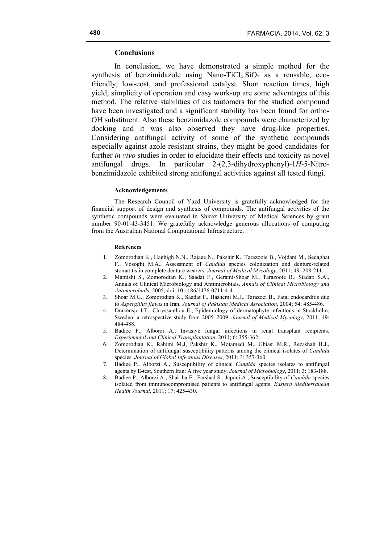## **Conclusions**

In conclusion, we have demonstrated a simple method for the synthesis of benzimidazole using Nano-TiCl<sub>4</sub>.SiO<sub>2</sub> as a reusable, ecofriendly, low-cost, and professional catalyst. Short reaction times, high yield, simplicity of operation and easy work-up are some adventages of this method. The relative stabilities of cis tautomers for the studied compound have been investigated and a significant stability has been found for ortho-OH substituent. Also these benzimidazole compounds were characterized by docking and it was also observed they have drug-like properties. Considering antifungal activity of some of the synthetic compounds especially against azole resistant strains, they might be good candidates for further *in vivo* studies in order to elucidate their effects and toxicity as novel antifungal drugs. In particular 2-(2,3-dihydroxyphenyl)-1*H*-5-Nitrobenzimidazole exhibited strong antifungal activities against all tested fungi.

#### **Acknowledgements**

The Research Council of Yazd University is gratefully acknowledged for the financial support of design and synthesis of compounds. The antifungal activities of the synthetic compounds were evaluated in Shiraz University of Medical Sciences by grant number 90-01-43-3451. We gratefully acknowledge generous allocations of computing from the Australian National Computational Infrastructure.

#### **References**

- 1. Zomorodian K., Haghigh N.N., Rajaee N., Pakshir K., Tarazooie B., Vojdani M., Sedaghat F., Vosoghi M.A., Assessment of *Candida* species colonization and denture-related stomatitis in complete denture wearers. *Journal of Medical Mycology*, 2011; 49: 208-211.
- 2. Mamishi S., Zomorodian K., Saadat F., Gerami-Shoar M., Tarazooie B., Siadati S.A., Annals of Clinical Microbiology and Antimicrobials. *Annals of Clinical Microbiology and Antimicrobials*, 2005; doi: 10.1186/1476-0711-4-4.
- 3. Shoar M.G., Zomorodian K., Saadat F., Hashemi M.J., Tarazoei B., Fatal endocarditis due to *Aspergillus flavus* in Iran. *Journal of Pakistan Medical Association*, 2004; 54: 485-486.
- 4. Drakensjo I.T., Chryssanthou E., Epidemiology of dermatophyte infections in Stockholm, Sweden: a retrospective study from 2005–2009. *Journal of Medical Mycology*, 2011; 49: 484-488.
- 5. Badiee P., Alborzi A., Invasive fungal infections in renal transplant recipients. *Experimental and Clinical Transplantation*. 2011; 6: 355-362.
- 6. Zomorodian K., Rahimi M.J, Pakshir K., Motamedi M., Ghiasi M.R., Rezashah H.J., Determination of antifungal susceptibility patterns among the clinical isolates of *Candida* species. *Journal of Global Infectious Diseases*, 2011; 3: 357-360.
- 7. Badiee P., Alborzi A., Susceptibility of clinical *Candida* species isolates to antifungal agents by E-test, Southern Iran: A five year study. *Journal of Microbiology*, 2011; 3: 183-188.
- 8. Badiee P., Alborzi A., Shakiba E., Farshad S., Japoni A., Susceptibility of *Candida* species isolated from immunocompromised patients to antifungal agents. *Eastern Mediterranean Health Journal*, 2011; 17: 425-430.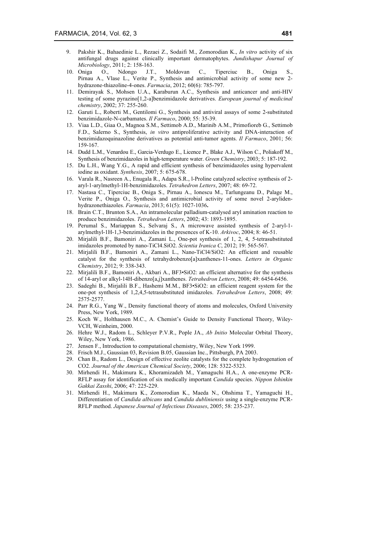- 9. Pakshir K., Bahaedinie L., Rezaei Z., Sodaifi M., Zomorodian K., *In vitro* activity of six antifungal drugs against clinically important dermatophytes. *Jundishapur Journal of Microbiology*, 2011; 2: 158-163.
- 10. Oniga O., Ndongo J.T., Moldovan C., Tiperciuc B., Oniga Pirnau A., Vlase L., Verite P., Synthesis and antimicrobial activity of some new 2 hydrazone-thiazoline-4-ones. *Farmacia*, 2012; 60(6): 785-797.
- 11. Demirayak S., Mohsen U.A., Karaburun A.C., Synthesis and anticancer and anti-HIV testing of some pyrazino[1,2-a]benzimidazole derivatives. *European journal of medicinal chemistry*, 2002; 37: 255-260.
- 12. Garuti L., Roberti M., Gentilomi G., Synthesis and antiviral assays of some 2-substituted benzimidazole-N-carbamates. *Il Farmaco*, 2000; 55: 35-39.
- 13. Viaa L.D., Giaa O., Magnoa S.M., Settimob A.D., Marinib A.M., Primofioreb G., Settimob F.D., Salerno S., Synthesis, *in vitro* antiproliferative activity and DNA-interaction of benzimidazoquinazoline derivatives as potential anti-tumor agents. *Il Farmaco*, 2001; 56: 159-167.
- 14. Dudd L.M., Venardou E., Garcia-Verdugo E., Licence P., Blake A.J., Wilson C., Poliakoff M., Synthesis of benzimidazoles in high-temperature water. *Green Chemistry*, 2003; 5: 187-192.
- 15. Du L.H., Wang Y.G., A rapid and efficient synthesis of benzimidazoles using hypervalent iodine as oxidant. *Synthesis*, 2007; 5: 675-678.
- 16. Varala R., Nasreen A., Enugala R., Adapa S.R., l-Proline catalyzed selective synthesis of 2 aryl-1-arylmethyl-1H-benzimidazoles. *Tetrahedron Letters*, 2007; 48: 69-72.
- 17. Nastasa C., Tiperciuc B., Oniga S., Pirnau A., Ionescu M., Tarlungeanu D., Palage M., Verite P., Oniga O., Synthesis and antimicrobial activity of some novel 2-arylidenhydrazonethiazoles. *Farmacia*, 2013; 61(5): 1027-1036**.**
- 18. Brain C.T., Brunton S.A., An intramolecular palladium-catalysed aryl amination reaction to produce benzimidazoles. *Tetrahedron Letters*, 2002; 43: 1893-1895.
- 19. Perumal S., Mariappan S., Selvaraj S., A microwave assisted synthesis of 2-aryl-1 arylmethyl-1H-1,3-benzimidazoles in the presences of K-10. *Arkivoc*, 2004; 8: 46-51.
- 20. Mirjalili B.F., Bamoniri A., Zamani L., One-pot synthesis of 1, 2, 4, 5-tetrasubstituted imidazoles promoted by nano-TiCl4.SiO2. *Scientia Iranica C*, 2012; 19: 565-567.
- 21. Mirjalili B.F., Bamoniri A., Zamani L., Nano-TiCl4/SiO2: An efficient and reusable catalyst for the synthesis of tetrahydrobenzo[a]xanthenes-11-ones. *Letters in Organic Chemistry*, 2012; 9: 338-343.
- 22. Mirjalili B.F., Bamoniri A., Akbari A., BF3•SiO2: an efficient alternative for the synthesis of 14-aryl or alkyl-14H-dibenzo[a,j]xanthenes. *Tetrahedron Letters*, 2008; 49: 6454-6456.
- 23. Sadeghi B., Mirjalili B.F., Hashemi M.M., BF3•SiO2: an efficient reagent system for the one-pot synthesis of 1,2,4,5-tetrasubstituted imidazoles. *Tetrahedron Letters*, 2008; 49: 2575-2577.
- 24. Parr R.G., Yang W., Density functional theory of atoms and molecules, Oxford University Press, New York, 1989.
- 25. Koch W., Holthausen M.C., A. Chemist's Guide to Density Functional Theory, Wiley-VCH, Weinheim, 2000.
- 26. Hehre W.J., Radom L., Schleyer P.V.R., Pople JA., *Ab Initio* Molecular Orbital Theory, Wiley, New York, 1986.
- 27. Jensen F., Introduction to computational chemistry, Wiley, New York 1999.
- 28. Frisch M.J., Gaussian 03, Revision B.05, Gaussian Inc., Pittsburgh, PA 2003.
- 29. Chan B., Radom L., Design of effective zeolite catalysts for the complete hydrogenation of CO2. *Journal of the American Chemical Society*, 2006; 128: 5322-5323.
- 30. Mirhendi H., Makimura K., Khoramizadeh M., Yamaguchi H.A., A one-enzyme PCR-RFLP assay for identification of six medically important *Candida* species. *Nippon Ishinkin Gakkai Zasshi*, 2006; 47: 225-229.
- 31. Mirhendi H., Makimura K., Zomorodian K., Maeda N., Ohshima T., Yamaguchi H., Differentiation of *Candida albicans* and *Candida dubliniensis* using a single-enzyme PCR-RFLP method. *Japanese Journal of Infectious Diseases*, 2005; 58: 235-237.